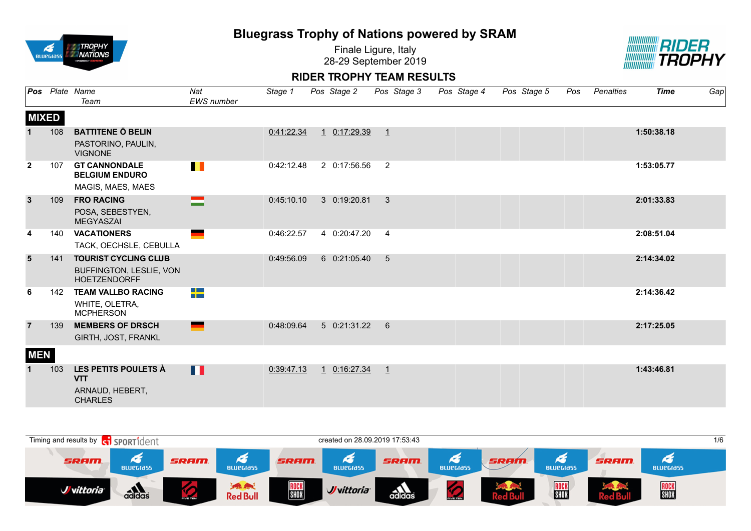

Finale Ligure, Italy 28-29 September 2019



| Pos                     |     | Plate Name<br>Team                                                            | Nat<br><b>EWS</b> number | Stage 1    | Pos Stage 2  | Pos Stage 3    | Pos Stage 4 | Pos Stage 5 | Pos | Penalties | <b>Time</b> | Gap |
|-------------------------|-----|-------------------------------------------------------------------------------|--------------------------|------------|--------------|----------------|-------------|-------------|-----|-----------|-------------|-----|
| <b>MIXED</b>            |     |                                                                               |                          |            |              |                |             |             |     |           |             |     |
|                         | 108 | <b>BATTITENE Ö BELIN</b><br>PASTORINO, PAULIN,<br><b>VIGNONE</b>              |                          | 0:41:22.34 | 1 0:17:29.39 | $\overline{1}$ |             |             |     |           | 1:50:38.18  |     |
| $\mathbf{2}$            | 107 | <b>GT CANNONDALE</b><br><b>BELGIUM ENDURO</b><br>MAGIS, MAES, MAES            | $\blacksquare$           | 0:42:12.48 | 2 0:17:56.56 | 2              |             |             |     |           | 1:53:05.77  |     |
| $\mathbf{3}$            | 109 | <b>FRO RACING</b><br>POSA, SEBESTYEN,<br><b>MEGYASZAI</b>                     | =                        | 0:45:10.10 | 3 0:19:20.81 | 3              |             |             |     |           | 2:01:33.83  |     |
| $\overline{\mathbf{4}}$ | 140 | <b>VACATIONERS</b><br>TACK, OECHSLE, CEBULLA                                  |                          | 0:46:22.57 | 4 0:20:47.20 | $\overline{4}$ |             |             |     |           | 2:08:51.04  |     |
| $5\phantom{1}$          | 141 | <b>TOURIST CYCLING CLUB</b><br>BUFFINGTON, LESLIE, VON<br><b>HOETZENDORFF</b> |                          | 0:49:56.09 | 6 0:21:05.40 | 5              |             |             |     |           | 2:14:34.02  |     |
| 6                       | 142 | <b>TEAM VALLBO RACING</b><br>WHITE, OLETRA,<br><b>MCPHERSON</b>               | 2 <mark>.</mark>         |            |              |                |             |             |     |           | 2:14:36.42  |     |
| $\overline{7}$          | 139 | <b>MEMBERS OF DRSCH</b><br>GIRTH, JOST, FRANKL                                | <b>State</b>             | 0:48:09.64 | 5 0:21:31.22 | 6              |             |             |     |           | 2:17:25.05  |     |
| <b>MEN</b>              |     |                                                                               |                          |            |              |                |             |             |     |           |             |     |
| $\mathbf 1$             | 103 | LES PETITS POULETS À<br><b>VTT</b><br>ARNAUD, HEBERT,<br><b>CHARLES</b>       | Ш                        | 0:39:47.13 | 1 0:16:27.34 | $\overline{1}$ |             |             |     |           | 1:43:46.81  |     |

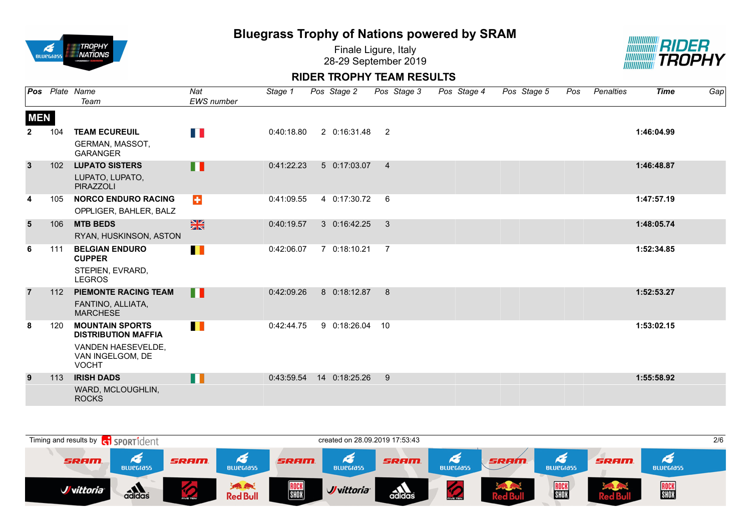

Finale Ligure, Italy 28-29 September 2019



|                |     | Pos Plate Name                                         | Nat               | Stage 1    | Pos Stage 2   |                | Pos Stage 3 | Pos Stage 4 | Pos Stage 5 | Pos | Penalties | <b>Time</b> | Gap |
|----------------|-----|--------------------------------------------------------|-------------------|------------|---------------|----------------|-------------|-------------|-------------|-----|-----------|-------------|-----|
|                |     | Team                                                   | <b>EWS</b> number |            |               |                |             |             |             |     |           |             |     |
| <b>MEN</b>     |     |                                                        |                   |            |               |                |             |             |             |     |           |             |     |
| $\overline{2}$ | 104 | <b>TEAM ECUREUIL</b>                                   | <b>TIP</b>        | 0:40:18.80 | 2 0:16:31.48  | $\overline{2}$ |             |             |             |     |           | 1:46:04.99  |     |
|                |     | GERMAN, MASSOT,<br><b>GARANGER</b>                     |                   |            |               |                |             |             |             |     |           |             |     |
| $\overline{3}$ | 102 | <b>LUPATO SISTERS</b>                                  | n II              | 0:41:22.23 | 5 0:17:03.07  | $\overline{4}$ |             |             |             |     |           | 1:46:48.87  |     |
|                |     | LUPATO, LUPATO,<br><b>PIRAZZOLI</b>                    |                   |            |               |                |             |             |             |     |           |             |     |
| 4              | 105 | <b>NORCO ENDURO RACING</b>                             | $\div$            | 0:41:09.55 | 4 0:17:30.72  | 6              |             |             |             |     |           | 1:47:57.19  |     |
|                |     | OPPLIGER, BAHLER, BALZ                                 |                   |            |               |                |             |             |             |     |           |             |     |
| $5\phantom{1}$ | 106 | <b>MTB BEDS</b>                                        | $\frac{N}{N}$     | 0:40:19.57 | 3 0:16:42.25  | $\mathbf{3}$   |             |             |             |     |           | 1:48:05.74  |     |
|                |     | RYAN, HUSKINSON, ASTON                                 |                   |            |               |                |             |             |             |     |           |             |     |
| 6              | 111 | <b>BELGIAN ENDURO</b><br><b>CUPPER</b>                 | П                 | 0:42:06.07 | 7 0:18:10.21  | $\overline{7}$ |             |             |             |     |           | 1:52:34.85  |     |
|                |     | STEPIEN, EVRARD,<br><b>LEGROS</b>                      |                   |            |               |                |             |             |             |     |           |             |     |
| $\overline{7}$ | 112 | <b>PIEMONTE RACING TEAM</b>                            | П                 | 0:42:09.26 | 8 0:18:12.87  | 8              |             |             |             |     |           | 1:52:53.27  |     |
|                |     | FANTINO, ALLIATA,<br><b>MARCHESE</b>                   |                   |            |               |                |             |             |             |     |           |             |     |
| 8              | 120 | <b>MOUNTAIN SPORTS</b><br><b>DISTRIBUTION MAFFIA</b>   | $\blacksquare$    | 0:42:44.75 | 9 0:18:26.04  | 10             |             |             |             |     |           | 1:53:02.15  |     |
|                |     | VANDEN HAESEVELDE,<br>VAN INGELGOM, DE<br><b>VOCHT</b> |                   |            |               |                |             |             |             |     |           |             |     |
| 9              | 113 | <b>IRISH DADS</b>                                      | H                 | 0:43:59.54 | 14 0:18:25.26 | 9              |             |             |             |     |           | 1:55:58.92  |     |
|                |     | WARD, MCLOUGHLIN,<br><b>ROCKS</b>                      |                   |            |               |                |             |             |             |     |           |             |     |

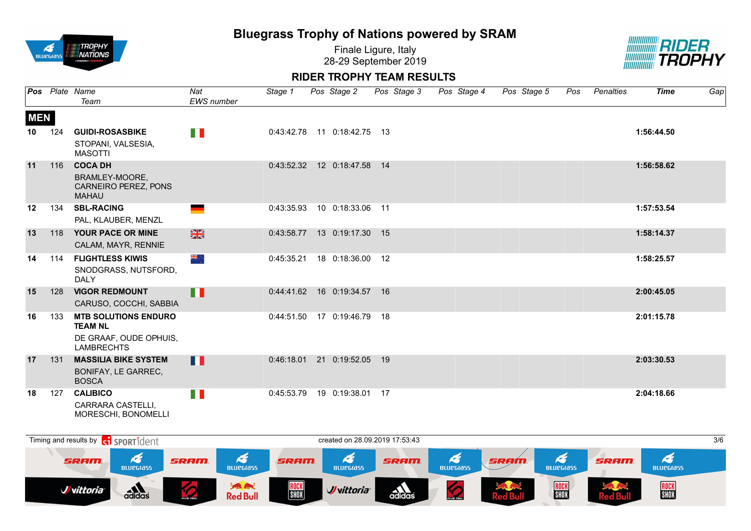

Finale Ligure, Italy 28-29 September 2019



|            |     | Pos Plate Name<br>Team                                                                       | Nat<br><b>EWS</b> number | Stage 1    | Pos Stage 2                    | Pos Stage 3 | Pos Stage 4 | Pos Stage 5 | Pos | Penalties | <b>Time</b> | Gap |
|------------|-----|----------------------------------------------------------------------------------------------|--------------------------|------------|--------------------------------|-------------|-------------|-------------|-----|-----------|-------------|-----|
| <b>MEN</b> |     |                                                                                              |                          |            |                                |             |             |             |     |           |             |     |
| 10         | 124 | <b>GUIDI-ROSASBIKE</b>                                                                       | n p                      |            | 0:43:42.78  11  0:18:42.75  13 |             |             |             |     |           | 1:56:44.50  |     |
|            |     | STOPANI, VALSESIA,<br><b>MASOTTI</b>                                                         |                          |            |                                |             |             |             |     |           |             |     |
| 11         | 116 | <b>COCA DH</b><br>BRAMLEY-MOORE,<br>CARNEIRO PEREZ, PONS<br><b>MAHAU</b>                     |                          |            | 0:43:52.32  12  0:18:47.58  14 |             |             |             |     |           | 1:56:58.62  |     |
| 12         | 134 | <b>SBL-RACING</b><br>PAL, KLAUBER, MENZL                                                     | ٠                        | 0:43:35.93 | 10 0:18:33.06 11               |             |             |             |     |           | 1:57:53.54  |     |
| 13         | 118 | YOUR PACE OR MINE<br>CALAM, MAYR, RENNIE                                                     | $\frac{N}{N}$            | 0:43:58.77 | 13 0:19:17.30 15               |             |             |             |     |           | 1:58:14.37  |     |
| 14         | 114 | <b>FLIGHTLESS KIWIS</b><br>SNODGRASS, NUTSFORD,<br><b>DALY</b>                               | ं और                     | 0:45:35.21 | 18 0:18:36.00 12               |             |             |             |     |           | 1:58:25.57  |     |
| 15         | 128 | <b>VIGOR REDMOUNT</b><br>CARUSO, COCCHI, SABBIA                                              | H                        | 0:44:41.62 | 16 0:19:34.57                  | 16          |             |             |     |           | 2:00:45.05  |     |
| 16         | 133 | <b>MTB SOLUTIONS ENDURO</b><br><b>TEAM NL</b><br>DE GRAAF, OUDE OPHUIS,<br><b>LAMBRECHTS</b> |                          | 0:44:51.50 | 17 0:19:46.79                  | -18         |             |             |     |           | 2:01:15.78  |     |
| 17         | 131 | <b>MASSILIA BIKE SYSTEM</b><br>BONIFAY, LE GARREC,<br><b>BOSCA</b>                           | Ш                        | 0:46:18.01 | 21 0:19:52.05                  | 19          |             |             |     |           | 2:03:30.53  |     |
| 18         | 127 | <b>CALIBICO</b><br>CARRARA CASTELLI.<br><b>MORESCHI, BONOMELLI</b>                           | T B                      | 0:45:53.79 | 19 0:19:38.01                  | -17         |             |             |     |           | 2:04:18.66  |     |

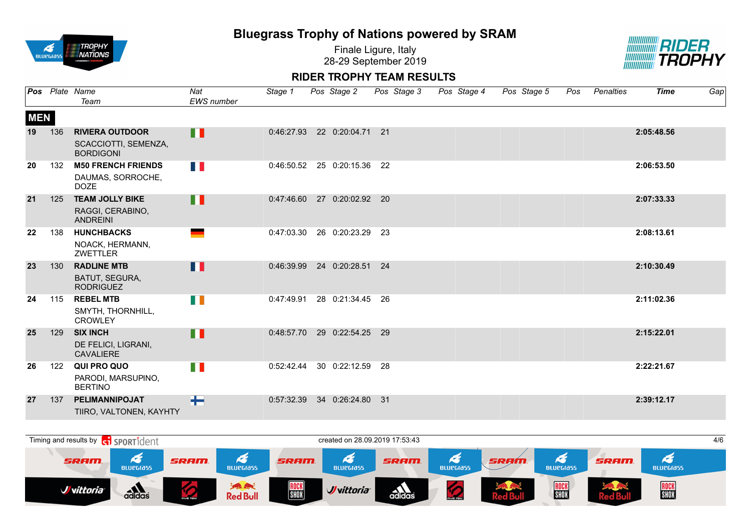

Finale Ligure, Italy 28-29 September 2019



|            |     | Pos Plate Name<br>Team                                             | Nat<br><b>EWS</b> number | Stage 1    | Pos Stage 2                 | Pos Stage 3 | Pos Stage 4 | Pos Stage 5 | Pos | Penalties | <b>Time</b> | Gap |
|------------|-----|--------------------------------------------------------------------|--------------------------|------------|-----------------------------|-------------|-------------|-------------|-----|-----------|-------------|-----|
| <b>MEN</b> |     |                                                                    |                          |            |                             |             |             |             |     |           |             |     |
| 19         | 136 | <b>RIVIERA OUTDOOR</b><br>SCACCIOTTI, SEMENZA,<br><b>BORDIGONI</b> | H                        | 0:46:27.93 | 22 0:20:04.71 21            |             |             |             |     |           | 2:05:48.56  |     |
| 20         | 132 | <b>M50 FRENCH FRIENDS</b><br>DAUMAS, SORROCHE,<br><b>DOZE</b>      | H N                      | 0:46:50.52 | 25 0:20:15.36               | -22         |             |             |     |           | 2:06:53.50  |     |
| 21         | 125 | <b>TEAM JOLLY BIKE</b><br>RAGGI, CERABINO,<br><b>ANDREINI</b>      | H.                       |            | 0:47:46.60 27 0:20:02.92 20 |             |             |             |     |           | 2:07:33.33  |     |
| 22         | 138 | <b>HUNCHBACKS</b><br>NOACK, HERMANN,<br>ZWETTLER                   |                          | 0:47:03.30 | 26 0:20:23.29               | -23         |             |             |     |           | 2:08:13.61  |     |
| 23         | 130 | <b>RADLINE MTB</b><br>BATUT, SEGURA,<br><b>RODRIGUEZ</b>           | П                        | 0:46:39.99 | 24 0:20:28.51               | 24          |             |             |     |           | 2:10:30.49  |     |
| 24         | 115 | <b>REBEL MTB</b><br>SMYTH, THORNHILL,<br><b>CROWLEY</b>            | H II                     | 0:47:49.91 | 28 0:21:34.45 26            |             |             |             |     |           | 2:11:02.36  |     |
| 25         | 129 | <b>SIX INCH</b><br>DE FELICI, LIGRANI,<br><b>CAVALIERE</b>         | H                        | 0:48:57.70 | 29 0:22:54.25 29            |             |             |             |     |           | 2:15:22.01  |     |
| 26         | 122 | QUI PRO QUO<br>PARODI, MARSUPINO,<br><b>BERTINO</b>                | FI I                     | 0:52:42.44 | 30 0:22:12.59               | -28         |             |             |     |           | 2:22:21.67  |     |
| 27         | 137 | PELIMANNIPOJAT<br>TIIRO, VALTONEN, KAYHTY                          | $\pm$                    | 0:57:32.39 | 34 0:26:24.80               | -31         |             |             |     |           | 2:39:12.17  |     |

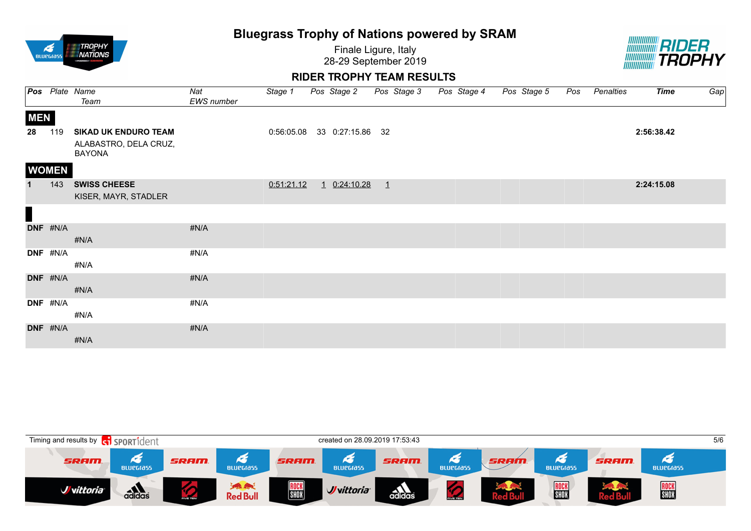| <b>BLUPGIASS</b> | ROPHY<br><i><b>ATIONS</b></i><br><b>POWEREDSY</b> |  |
|------------------|---------------------------------------------------|--|
|                  |                                                   |  |

Finale Ligure, Italy 28-29 September 2019



|             |              | <b>Pos</b> Plate Name                                                 | Nat        | Stage 1    | Pos Stage 2                 |         | Pos Stage 3 | Pos Stage 4 | Pos Stage 5 | Pos | Penalties | <b>Time</b> | Gap |
|-------------|--------------|-----------------------------------------------------------------------|------------|------------|-----------------------------|---------|-------------|-------------|-------------|-----|-----------|-------------|-----|
|             |              | Team                                                                  | EWS number |            |                             |         |             |             |             |     |           |             |     |
| <b>MEN</b>  |              |                                                                       |            |            |                             |         |             |             |             |     |           |             |     |
| 28          | 119          | <b>SIKAD UK ENDURO TEAM</b><br>ALABASTRO, DELA CRUZ,<br><b>BAYONA</b> |            |            | 0:56:05.08 33 0:27:15.86 32 |         |             |             |             |     |           | 2:56:38.42  |     |
|             | <b>WOMEN</b> |                                                                       |            |            |                             |         |             |             |             |     |           |             |     |
| $\mathbf 1$ | 143          | <b>SWISS CHEESE</b><br>KISER, MAYR, STADLER                           |            | 0:51:21.12 | 1 0:24:10.28                | $\perp$ |             |             |             |     |           | 2:24:15.08  |     |
| $\Box$      |              |                                                                       |            |            |                             |         |             |             |             |     |           |             |     |
|             | DNF #N/A     | #N/A                                                                  | #N/A       |            |                             |         |             |             |             |     |           |             |     |
|             | DNF #N/A     | #N/A                                                                  | #N/A       |            |                             |         |             |             |             |     |           |             |     |
|             | DNF #N/A     | #N/A                                                                  | #N/A       |            |                             |         |             |             |             |     |           |             |     |
|             | DNF #N/A     | #N/A                                                                  | #N/A       |            |                             |         |             |             |             |     |           |             |     |
|             | DNF #N/A     | #N/A                                                                  | #N/A       |            |                             |         |             |             |             |     |           |             |     |